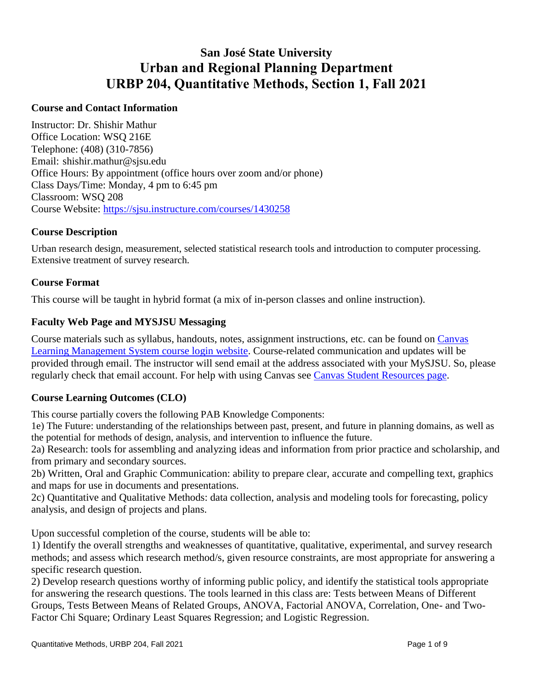# **San José State University Urban and Regional Planning Department URBP 204, Quantitative Methods, Section 1, Fall 2021**

## **Course and Contact Information**

Instructor: Dr. Shishir Mathur Office Location: WSQ 216E Telephone: (408) (310-7856) Email: [shishir.mathur@sjsu.edu](mailto:shishir.mathur@sjsu.edu) Office Hours: By appointment (office hours over zoom and/or phone) Class Days/Time: Monday, 4 pm to 6:45 pm Classroom: WSQ 208 Course Website: <https://sjsu.instructure.com/courses/1430258>

#### **Course Description**

Urban research design, measurement, selected statistical research tools and introduction to computer processing. Extensive treatment of survey research.

## **Course Format**

This course will be taught in hybrid format (a mix of in-person classes and online instruction).

#### **Faculty Web Page and MYSJSU Messaging**

Course materials such as syllabus, handouts, notes, assignment instructions, etc. can be found on Canvas Learning Management System course login website. Course-related communication and updates will be provided through email. The instructor will send email at the address associated with your MySJSU. So, please regularly check that email account. For help with using Canvas see Canvas Student Resources page.

## **Course Learning Outcomes (CLO)**

This course partially covers the following PAB Knowledge Components:

 1e) The Future: understanding of the relationships between past, present, and future in planning domains, as well as the potential for methods of design, analysis, and intervention to influence the future.

2a) Research: tools for assembling and analyzing ideas and information from prior practice and scholarship, and from primary and secondary sources.

2b) Written, Oral and Graphic Communication: ability to prepare clear, accurate and compelling text, graphics and maps for use in documents and presentations.

2c) Quantitative and Qualitative Methods: data collection, analysis and modeling tools for forecasting, policy analysis, and design of projects and plans.

Upon successful completion of the course, students will be able to:

 methods; and assess which research method/s, given resource constraints, are most appropriate for answering a 1) Identify the overall strengths and weaknesses of quantitative, qualitative, experimental, and survey research specific research question.

2) Develop research questions worthy of informing public policy, and identify the statistical tools appropriate for answering the research questions. The tools learned in this class are: Tests between Means of Different Groups, Tests Between Means of Related Groups, ANOVA, Factorial ANOVA, Correlation, One- and Two-Factor Chi Square; Ordinary Least Squares Regression; and Logistic Regression.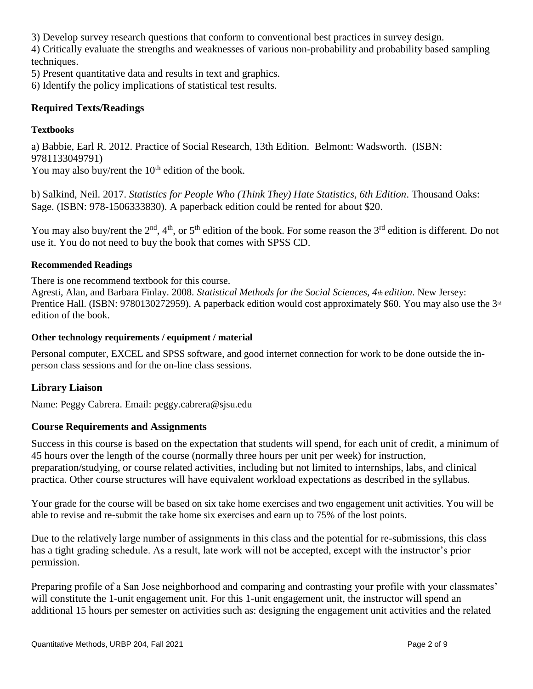3) Develop survey research questions that conform to conventional best practices in survey design.

4) Critically evaluate the strengths and weaknesses of various non-probability and probability based sampling techniques.

5) Present quantitative data and results in text and graphics.

6) Identify the policy implications of statistical test results.

## **Required Texts/Readings**

#### **Textbooks**

a) Babbie, Earl R. 2012. Practice of Social Research, 13th Edition. Belmont: Wadsworth. (ISBN: 9781133049791)

You may also buy/rent the  $10<sup>th</sup>$  edition of the book.

b) Salkind, Neil. 2017. *Statistics for People Who (Think They) Hate Statistics, 6th Edition*. Thousand Oaks: Sage. (ISBN: 978-1506333830). A paperback edition could be rented for about \$20.

You may also buy/rent the  $2^{nd}$ ,  $4^{th}$ , or  $5^{th}$  edition of the book. For some reason the  $3^{rd}$  edition is different. Do not use it. You do not need to buy the book that comes with SPSS CD.

#### **Recommended Readings**

There is one recommend textbook for this course.

 Agresti, Alan, and Barbara Finlay. 2008. *Statistical Methods for the Social Sciences, 4th edition*. New Jersey: Prentice Hall. (ISBN: 9780130272959). A paperback edition would cost approximately \$60. You may also use the 3<sup>rd</sup> edition of the book.

#### **Other technology requirements / equipment / material**

Personal computer, EXCEL and SPSS software, and good internet connection for work to be done outside the inperson class sessions and for the on-line class sessions.

## **Library Liaison**

Name: Peggy Cabrera. Email: [peggy.cabrera@sjsu.edu](mailto:peggy.cabrera@sjsu.edu) 

## **Course Requirements and Assignments**

Success in this course is based on the expectation that students will spend, for each unit of credit, a minimum of 45 hours over the length of the course (normally three hours per unit per week) for instruction, preparation/studying, or course related activities, including but not limited to internships, labs, and clinical practica. Other course structures will have equivalent workload expectations as described in the syllabus.

 able to revise and re-submit the take home six exercises and earn up to 75% of the lost points. Your grade for the course will be based on six take home exercises and two engagement unit activities. You will be

Due to the relatively large number of assignments in this class and the potential for re-submissions, this class has a tight grading schedule. As a result, late work will not be accepted, except with the instructor's prior permission.

Preparing profile of a San Jose neighborhood and comparing and contrasting your profile with your classmates' will constitute the 1-unit engagement unit. For this 1-unit engagement unit, the instructor will spend an additional 15 hours per semester on activities such as: designing the engagement unit activities and the related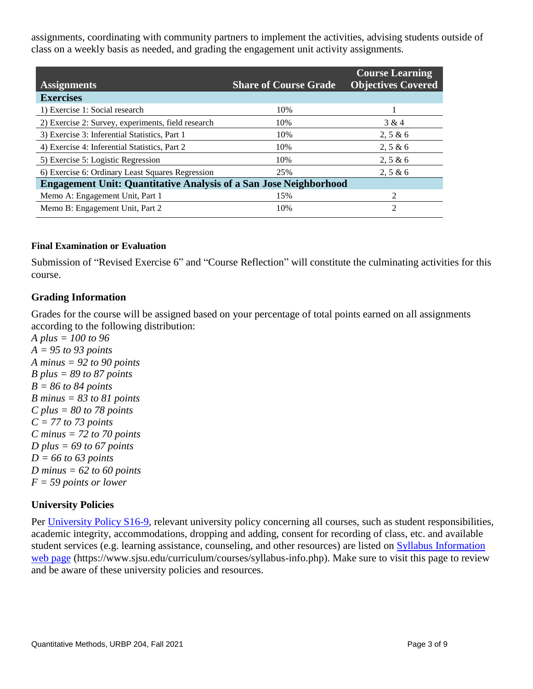assignments, coordinating with community partners to implement the activities, advising students outside of class on a weekly basis as needed, and grading the engagement unit activity assignments.

| <b>Assignments</b>                                                       | <b>Share of Course Grade</b> | <b>Course Learning</b><br><b>Objectives Covered</b> |
|--------------------------------------------------------------------------|------------------------------|-----------------------------------------------------|
| <b>Exercises</b>                                                         |                              |                                                     |
| 1) Exercise 1: Social research                                           | 10%                          |                                                     |
| 2) Exercise 2: Survey, experiments, field research                       | 10%                          | 3 & 4                                               |
| 3) Exercise 3: Inferential Statistics, Part 1                            | 10%                          | 2, 5 & 6                                            |
| 4) Exercise 4: Inferential Statistics, Part 2                            | 10%                          | 2, 5 & 6                                            |
| 5) Exercise 5: Logistic Regression                                       | 10%                          | 2, 5 & 6                                            |
| 6) Exercise 6: Ordinary Least Squares Regression                         | 25%                          | 2, 5 & 6                                            |
| <b>Engagement Unit: Quantitative Analysis of a San Jose Neighborhood</b> |                              |                                                     |
| Memo A: Engagement Unit, Part 1                                          | 15%                          | $\mathfrak{D}$                                      |
| Memo B: Engagement Unit, Part 2                                          | 10%                          | 2                                                   |

#### **Final Examination or Evaluation**

Submission of "Revised Exercise 6" and "Course Reflection" will constitute the culminating activities for this course.

## **Grading Information**

Grades for the course will be assigned based on your percentage of total points earned on all assignments according to the following distribution:

*A plus = 100 to 96 A = 95 to 93 points A minus = 92 to 90 points B plus = 89 to 87 points B = 86 to 84 points B minus = 83 to 81 points C plus = 80 to 78 points C = 77 to 73 points C minus = 72 to 70 points D plus = 69 to 67 points D = 66 to 63 points D minus = 62 to 60 points F = 59 points or lower* 

## **University Policies**

Per University Policy S16-9, relevant university policy concerning all courses, such as student responsibilities, academic integrity, accommodations, dropping and adding, consent for recording of class, etc. and available student services (e.g. learning assistance, counseling, and other resources) are listed on Syllabus Information web page (<https://www.sjsu.edu/curriculum/courses/syllabus-info.php>). Make sure to visit this page to review and be aware of these university policies and resources.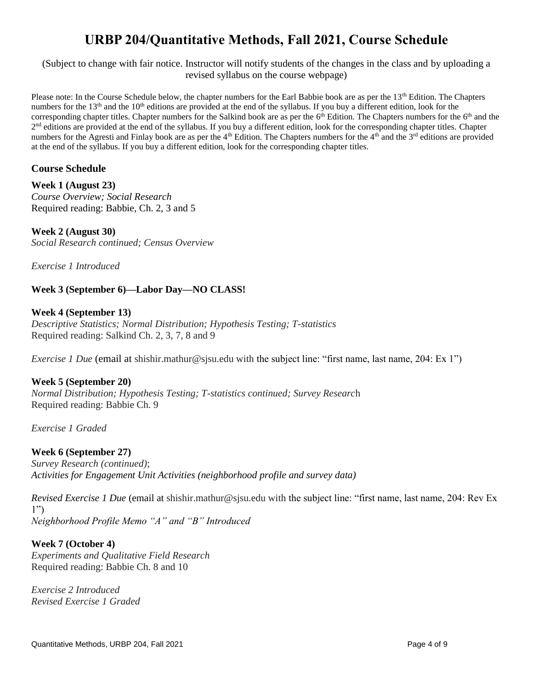# **URBP 204/Quantitative Methods, Fall 2021, Course Schedule**

(Subject to change with fair notice. Instructor will notify students of the changes in the class and by uploading a revised syllabus on the course webpage)

Please note: In the Course Schedule below, the chapter numbers for the Earl Babbie book are as per the 13<sup>th</sup> Edition. The Chapters numbers for the  $13<sup>th</sup>$  and the  $10<sup>th</sup>$  editions are provided at the end of the syllabus. If you buy a different edition, look for the corresponding chapter titles. Chapter numbers for the Salkind book are as per the 6<sup>th</sup> Edition. The Chapters numbers for the 6<sup>th</sup> and the  $2<sup>nd</sup>$  editions are provided at the end of the syllabus. If you buy a different edition, look for the corresponding chapter titles. Chapter numbers for the Agresti and Finlay book are as per the  $4<sup>th</sup>$  Edition. The Chapters numbers for the  $4<sup>th</sup>$  and the  $3<sup>rd</sup>$  editions are provided at the end of the syllabus. If you buy a different edition, look for the corresponding chapter titles.

## **Course Schedule**

**Week 1 (August 23)**  *Course Overview; Social Research*  Required reading: Babbie, Ch. 2, 3 and 5

**Week 2 (August 30)**  *Social Research continued; Census Overview* 

*Exercise 1 Introduced* 

## **Week 3 (September 6)—Labor Day—NO CLASS!**

#### **Week 4 (September 13)**

*Descriptive Statistics; Normal Distribution; Hypothesis Testing; T-statistics*  Required reading: Salkind Ch. 2, 3, 7, 8 and 9

*Exercise 1 Due* (email at [shishir.mathur@sjsu.edu](mailto:shishir.mathur@sjsu.edu) with the subject line: "first name, last name, 204: Ex 1")

#### **Week 5 (September 20)**

*Normal Distribution; Hypothesis Testing; T-statistics continued; Survey Researc*h Required reading: Babbie Ch. 9

*Exercise 1 Graded* 

#### **Week 6 (September 27)**

*Survey Research (continued)*; *Activities for Engagement Unit Activities (neighborhood profile and survey data)* 

*Revised Exercise 1 Due* (email at [shishir.mathur@sjsu.edu](mailto:shishir.mathur@sjsu.edu) with the subject line: "first name, last name, 204: Rev Ex 1") *Neighborhood Profile Memo "A" and "B" Introduced* 

#### **Week 7 (October 4)**

*Experiments and Qualitative Field Research*  Required reading: Babbie Ch. 8 and 10

*Exercise 2 Introduced Revised Exercise 1 Graded*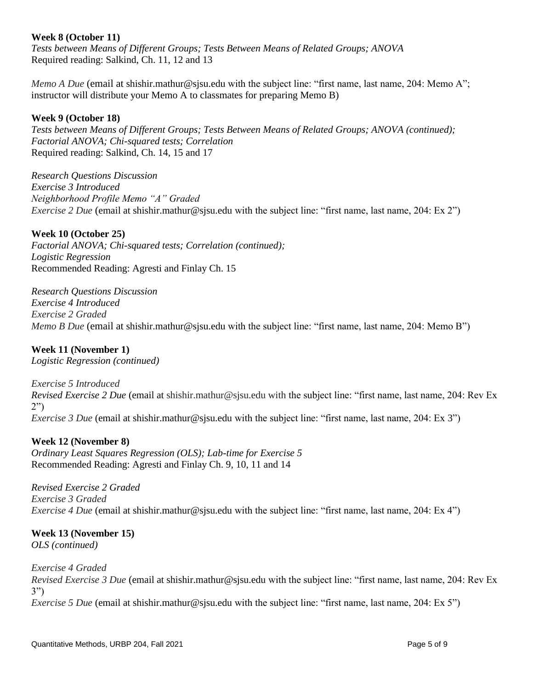#### **Week 8 (October 11)**

*Tests between Means of Different Groups; Tests Between Means of Related Groups; ANOVA*  Required reading: Salkind, Ch. 11, 12 and 13

*Memo A Due* (email at [shishir.mathur@sjsu.edu](mailto:shishir.mathur@sjsu.edu) with the subject line: "first name, last name, 204: Memo A"; instructor will distribute your Memo A to classmates for preparing Memo B)

## **Week 9 (October 18)**

*Tests between Means of Different Groups; Tests Between Means of Related Groups; ANOVA (continued); Factorial ANOVA; Chi-squared tests; Correlation*  Required reading: Salkind, Ch. 14, 15 and 17

*Research Questions Discussion Exercise 3 Introduced Neighborhood Profile Memo "A" Graded Exercise 2 Due* (email at [shishir.mathur@sjsu.edu](mailto:shishir.mathur@sjsu.edu) with the subject line: "first name, last name, 204: Ex 2")

#### **Week 10 (October 25)**

*Factorial ANOVA; Chi-squared tests; Correlation (continued); Logistic Regression*  Recommended Reading: Agresti and Finlay Ch. 15

*Research Questions Discussion Exercise 4 Introduced Exercise 2 Graded Memo B Due* (email at [shishir.mathur@sjsu.edu](mailto:shishir.mathur@sjsu.edu) with the subject line: "first name, last name, 204: Memo B")

## **Week 11 (November 1)**

*Logistic Regression (continued)* 

*Exercise 5 Introduced* 

*Revised Exercise 2 Due* (email at [shishir.mathur@sjsu.edu](mailto:shishir.mathur@sjsu.edu) with the subject line: "first name, last name, 204: Rev Ex 2") *Exercise 3 Due* (email at [shishir.mathur@sjsu.edu](mailto:shishir.mathur@sjsu.edu) with the subject line: "first name, last name, 204: Ex 3")

#### **Week 12 (November 8)**

*Ordinary Least Squares Regression (OLS); Lab-time for Exercise 5*  Recommended Reading: Agresti and Finlay Ch. 9, 10, 11 and 14

*Revised Exercise 2 Graded Exercise 3 Graded Exercise 4 Due* (email at [shishir.mathur@sjsu.edu](mailto:shishir.mathur@sjsu.edu) with the subject line: "first name, last name, 204: Ex 4")

## **Week 13 (November 15)**

*OLS (continued)* 

*Exercise 4 Graded* 

*Revised Exercise 3 Due* (email at [shishir.mathur@sjsu.edu](mailto:shishir.mathur@sjsu.edu) with the subject line: "first name, last name, 204: Rev Ex 3") *Exercise 5 Due* (email at [shishir.mathur@sjsu.edu](mailto:shishir.mathur@sjsu.edu) with the subject line: "first name, last name, 204: Ex 5")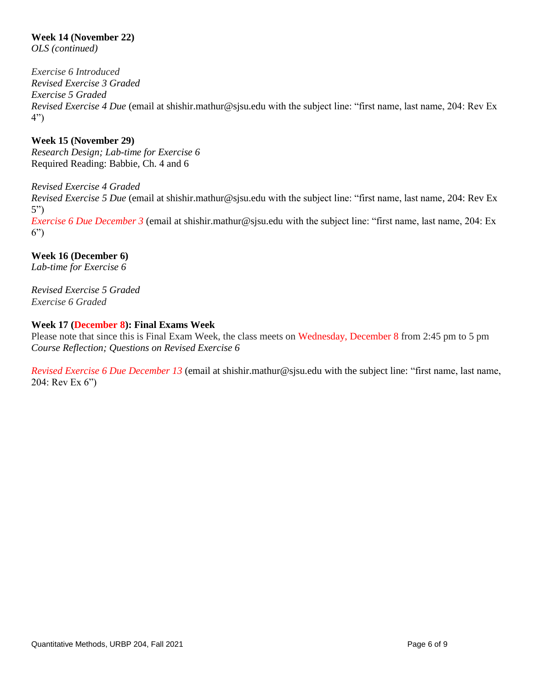## **Week 14 (November 22)**

*OLS (continued)* 

*Exercise 6 Introduced Revised Exercise 3 Graded Exercise 5 Graded Revised Exercise 4 Due* (email at [shishir.mathur@sjsu.edu](mailto:shishir.mathur@sjsu.edu) with the subject line: "first name, last name, 204: Rev Ex 4")

**Week 15 (November 29)**  *Research Design; Lab-time for Exercise 6*  Required Reading: Babbie, Ch. 4 and 6

*Revised Exercise 4 Graded Revised Exercise 5 Due* (email at [shishir.mathur@sjsu.edu](mailto:shishir.mathur@sjsu.edu) with the subject line: "first name, last name, 204: Rev Ex 5") *Exercise 6 Due December 3* (email at [shishir.mathur@sjsu.edu](mailto:shishir.mathur@sjsu.edu) with the subject line: "first name, last name, 204: Ex 6")

**Week 16 (December 6)**  *Lab-time for Exercise 6* 

*Revised Exercise 5 Graded Exercise 6 Graded* 

#### **Week 17 (December 8): Final Exams Week**

Please note that since this is Final Exam Week, the class meets on Wednesday, December 8 from 2:45 pm to 5 pm *Course Reflection; Questions on Revised Exercise 6* 

*Revised Exercise 6 Due December 13* (email at [shishir.mathur@sjsu.edu](mailto:shishir.mathur@sjsu.edu) with the subject line: "first name, last name, 204: Rev Ex 6")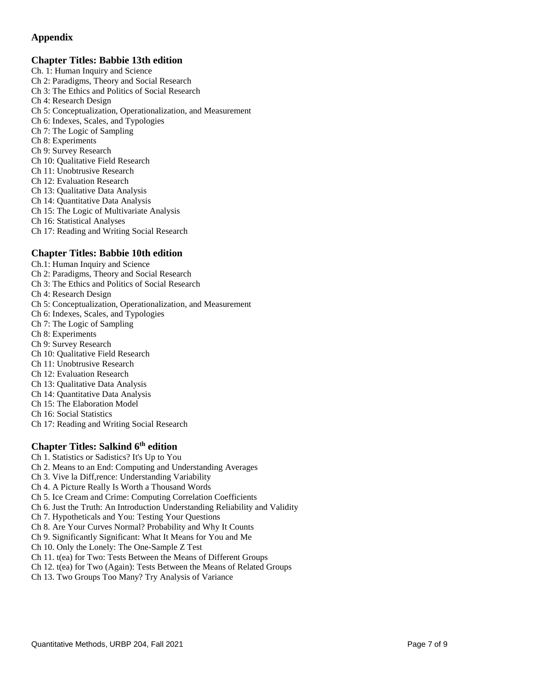## **Appendix**

#### **Chapter Titles: Babbie 13th edition**

- Ch. 1: Human Inquiry and Science
- Ch 2: Paradigms, Theory and Social Research
- Ch 3: The Ethics and Politics of Social Research
- Ch 4: Research Design
- Ch 5: Conceptualization, Operationalization, and Measurement
- Ch 6: Indexes, Scales, and Typologies
- Ch 7: The Logic of Sampling
- Ch 8: Experiments
- Ch 9: Survey Research
- Ch 10: Qualitative Field Research
- Ch 11: Unobtrusive Research
- Ch 12: Evaluation Research
- Ch 13: Qualitative Data Analysis
- Ch 14: Quantitative Data Analysis
- Ch 15: The Logic of Multivariate Analysis
- Ch 16: Statistical Analyses
- Ch 17: Reading and Writing Social Research

#### **Chapter Titles: Babbie 10th edition**

- Ch.1: Human Inquiry and Science
- Ch 2: Paradigms, Theory and Social Research
- Ch 3: The Ethics and Politics of Social Research
- Ch 4: Research Design
- Ch 5: Conceptualization, Operationalization, and Measurement
- Ch 6: Indexes, Scales, and Typologies
- Ch 7: The Logic of Sampling
- Ch 8: Experiments
- Ch 9: Survey Research
- Ch 10: Qualitative Field Research
- Ch 11: Unobtrusive Research
- Ch 12: Evaluation Research
- Ch 13: Qualitative Data Analysis
- Ch 14: Quantitative Data Analysis
- Ch 15: The Elaboration Model
- Ch 16: Social Statistics
- Ch 17: Reading and Writing Social Research

## **Chapter Titles: Salkind 6<sup>th</sup> edition**

- Ch 1. Statistics or Sadistics? It's Up to You
- Ch 2. Means to an End: Computing and Understanding Averages
- Ch 3. Vive la Diff,rence: Understanding Variability
- Ch 4. A Picture Really Is Worth a Thousand Words
- Ch 5. Ice Cream and Crime: Computing Correlation Coefficients
- Ch 6. Just the Truth: An Introduction Understanding Reliability and Validity
- Ch 7. Hypotheticals and You: Testing Your Questions
- Ch 8. Are Your Curves Normal? Probability and Why It Counts
- Ch 9. Significantly Significant: What It Means for You and Me
- Ch 10. Only the Lonely: The One-Sample Z Test
- Ch 11. t(ea) for Two: Tests Between the Means of Different Groups
- Ch 12. t(ea) for Two (Again): Tests Between the Means of Related Groups
- Ch 13. Two Groups Too Many? Try Analysis of Variance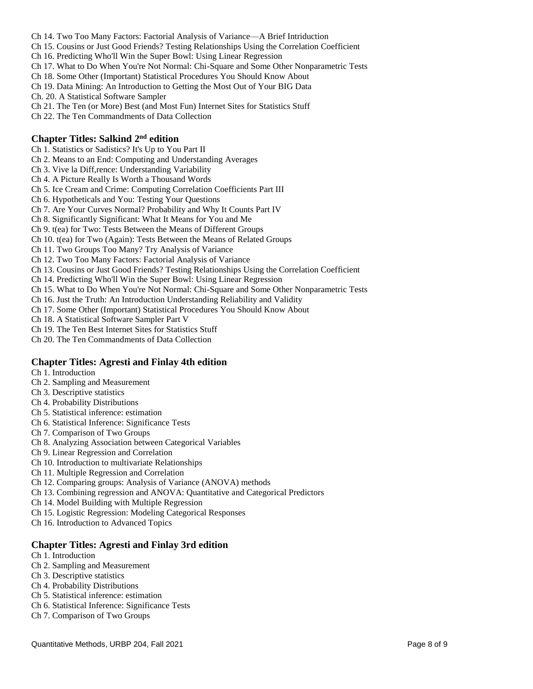- Ch 14. Two Too Many Factors: Factorial Analysis of Variance—A Brief Intriduction
- Ch 15. Cousins or Just Good Friends? Testing Relationships Using the Correlation Coefficient
- Ch 16. Predicting Who'll Win the Super Bowl: Using Linear Regression
- Ch 17. What to Do When You're Not Normal: Chi-Square and Some Other Nonparametric Tests
- Ch 18. Some Other (Important) Statistical Procedures You Should Know About
- Ch 19. Data Mining: An Introduction to Getting the Most Out of Your BIG Data
- Ch. 20. A Statistical Software Sampler
- Ch 21. The Ten (or More) Best (and Most Fun) Internet Sites for Statistics Stuff
- Ch 22. The Ten Commandments of Data Collection

#### **Chapter Titles: Salkind 2nd edition**

- Ch 1. Statistics or Sadistics? It's Up to You Part II
- Ch 2. Means to an End: Computing and Understanding Averages
- Ch 3. Vive la Diff,rence: Understanding Variability
- Ch 4. A Picture Really Is Worth a Thousand Words
- Ch 5. Ice Cream and Crime: Computing Correlation Coefficients Part III
- Ch 6. Hypotheticals and You: Testing Your Questions
- Ch 7. Are Your Curves Normal? Probability and Why It Counts Part IV
- Ch 8. Significantly Significant: What It Means for You and Me
- Ch 9. t(ea) for Two: Tests Between the Means of Different Groups
- Ch 10. t(ea) for Two (Again): Tests Between the Means of Related Groups
- Ch 11. Two Groups Too Many? Try Analysis of Variance
- Ch 12. Two Too Many Factors: Factorial Analysis of Variance
- Ch 13. Cousins or Just Good Friends? Testing Relationships Using the Correlation Coefficient
- Ch 14. Predicting Who'll Win the Super Bowl: Using Linear Regression
- Ch 15. What to Do When You're Not Normal: Chi-Square and Some Other Nonparametric Tests
- Ch 16. Just the Truth: An Introduction Understanding Reliability and Validity
- Ch 17. Some Other (Important) Statistical Procedures You Should Know About
- Ch 18. A Statistical Software Sampler Part V
- Ch 19. The Ten Best Internet Sites for Statistics Stuff
- Ch 20. The Ten Commandments of Data Collection

#### **Chapter Titles: Agresti and Finlay 4th edition**

- Ch 1. Introduction
- Ch 2. Sampling and Measurement
- Ch 3. Descriptive statistics
- Ch 4. Probability Distributions
- Ch 5. Statistical inference: estimation
- Ch 6. Statistical Inference: Significance Tests
- Ch 7. Comparison of Two Groups
- Ch 8. Analyzing Association between Categorical Variables
- Ch 9. Linear Regression and Correlation
- Ch 10. Introduction to multivariate Relationships
- Ch 11. Multiple Regression and Correlation
- Ch 12. Comparing groups: Analysis of Variance (ANOVA) methods
- Ch 13. Combining regression and ANOVA: Quantitative and Categorical Predictors
- Ch 14. Model Building with Multiple Regression
- Ch 15. Logistic Regression: Modeling Categorical Responses
- Ch 16. Introduction to Advanced Topics

#### **Chapter Titles: Agresti and Finlay 3rd edition**

- Ch 1. Introduction
- Ch 2. Sampling and Measurement
- Ch 3. Descriptive statistics
- Ch 4. Probability Distributions
- Ch 5. Statistical inference: estimation
- Ch 6. Statistical Inference: Significance Tests
- Ch 7. Comparison of Two Groups